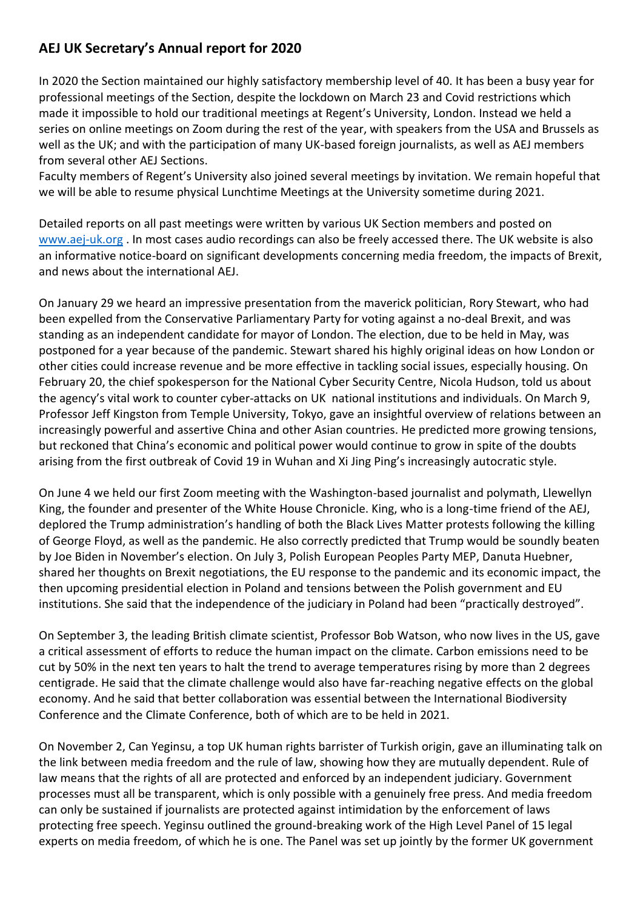## **AEJ UK Secretary's Annual report for 2020**

In 2020 the Section maintained our highly satisfactory membership level of 40. It has been a busy year for professional meetings of the Section, despite the lockdown on March 23 and Covid restrictions which made it impossible to hold our traditional meetings at Regent's University, London. Instead we held a series on online meetings on Zoom during the rest of the year, with speakers from the USA and Brussels as well as the UK; and with the participation of many UK-based foreign journalists, as well as AEJ members from several other AEJ Sections.

Faculty members of Regent's University also joined several meetings by invitation. We remain hopeful that we will be able to resume physical Lunchtime Meetings at the University sometime during 2021.

Detailed reports on all past meetings were written by various UK Section members and posted on [www.aej-uk.org](http://www.aej-uk.org/) . In most cases audio recordings can also be freely accessed there. The UK website is also an informative notice-board on significant developments concerning media freedom, the impacts of Brexit, and news about the international AEJ.

On January 29 we heard an impressive presentation from the maverick politician, Rory Stewart, who had been expelled from the Conservative Parliamentary Party for voting against a no-deal Brexit, and was standing as an independent candidate for mayor of London. The election, due to be held in May, was postponed for a year because of the pandemic. Stewart shared his highly original ideas on how London or other cities could increase revenue and be more effective in tackling social issues, especially housing. On February 20, the chief spokesperson for the National Cyber Security Centre, Nicola Hudson, told us about the agency's vital work to counter cyber-attacks on UK national institutions and individuals. On March 9, Professor Jeff Kingston from Temple University, Tokyo, gave an insightful overview of relations between an increasingly powerful and assertive China and other Asian countries. He predicted more growing tensions, but reckoned that China's economic and political power would continue to grow in spite of the doubts arising from the first outbreak of Covid 19 in Wuhan and Xi Jing Ping's increasingly autocratic style.

On June 4 we held our first Zoom meeting with the Washington-based journalist and polymath, Llewellyn King, the founder and presenter of the White House Chronicle. King, who is a long-time friend of the AEJ, deplored the Trump administration's handling of both the Black Lives Matter protests following the killing of George Floyd, as well as the pandemic. He also correctly predicted that Trump would be soundly beaten by Joe Biden in November's election. On July 3, Polish European Peoples Party MEP, Danuta Huebner, shared her thoughts on Brexit negotiations, the EU response to the pandemic and its economic impact, the then upcoming presidential election in Poland and tensions between the Polish government and EU institutions. She said that the independence of the judiciary in Poland had been "practically destroyed".

On September 3, the leading British climate scientist, Professor Bob Watson, who now lives in the US, gave a critical assessment of efforts to reduce the human impact on the climate. Carbon emissions need to be cut by 50% in the next ten years to halt the trend to average temperatures rising by more than 2 degrees centigrade. He said that the climate challenge would also have far-reaching negative effects on the global economy. And he said that better collaboration was essential between the International Biodiversity Conference and the Climate Conference, both of which are to be held in 2021.

On November 2, Can Yeginsu, a top UK human rights barrister of Turkish origin, gave an illuminating talk on the link between media freedom and the rule of law, showing how they are mutually dependent. Rule of law means that the rights of all are protected and enforced by an independent judiciary. Government processes must all be transparent, which is only possible with a genuinely free press. And media freedom can only be sustained if journalists are protected against intimidation by the enforcement of laws protecting free speech. Yeginsu outlined the ground-breaking work of the High Level Panel of 15 legal experts on media freedom, of which he is one. The Panel was set up jointly by the former UK government